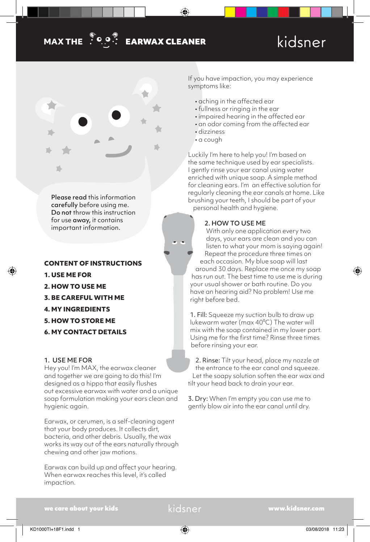# **MAX THE <sup>COO</sup>P** EARWAX CLEANER

# Y.

Please read this information carefully before using me. Do not throw this instruction for use away, it contains important information.

### **CONTENT OF INSTRUCTIONS**

- **1. USE ME FOR**
- **2. HOW TO USE ME**
- **3. BE CAREFUL WITH ME**
- **4. MY INGREDIENTS**
- **5. HOW TO STORE ME**
- **6. MY CONTACT DETAILS**

### 1. USE ME FOR

Hey you! I'm MAX, the earwax cleaner and together we are going to do this! I'm designed as a hippo that easily flushes out excessive earwax with water and a unique soap formulation making your ears clean and hygienic again.

Earwax, or cerumen, is a self-cleaning agent that your body produces. It collects dirt, bacteria, and other debris. Usually, the wax works its way out of the ears naturally through chewing and other jaw motions.

Earwax can build up and affect your hearing. When earwax reaches this level, it's called impaction.

If you have impaction, you may experience symptoms like:

kidsner

- aching in the affected ear
- fullness or ringing in the ear
- impaired hearing in the affected ear
- an odor coming from the affected ear
- dizziness

♠

• a cough

Luckily I'm here to help you! I'm based on the same technique used by ear specialists. I gently rinse your ear canal using water enriched with unique soap. A simple method for cleaning ears. I'm an effective solution for regularly cleaning the ear canals at home. Like brushing your teeth, I should be part of your personal health and hygiene.

# 2. HOW TO USE ME

With only one application every two days, your ears are clean and you can listen to what your mom is saying again! Repeat the procedure three times on each occasion. My blue soap will last around 30 days. Replace me once my soap has run out. The best time to use me is during your usual shower or bath routine. Do you have an hearing aid? No problem! Use me right before bed.

1. Fill: Squeeze my suction bulb to draw up lukewarm water (max 40°C) The water will mix with the soap contained in my lower part. Using me for the first time? Rinse three times before rinsing your ear.

2. Rinse: Tilt your head, place my nozzle at the entrance to the ear canal and squeeze. Let the soapy solution soften the ear wax and tilt your head back to drain your ear.

3. Dry: When I'm empty you can use me to gently blow air into the ear canal until dry.